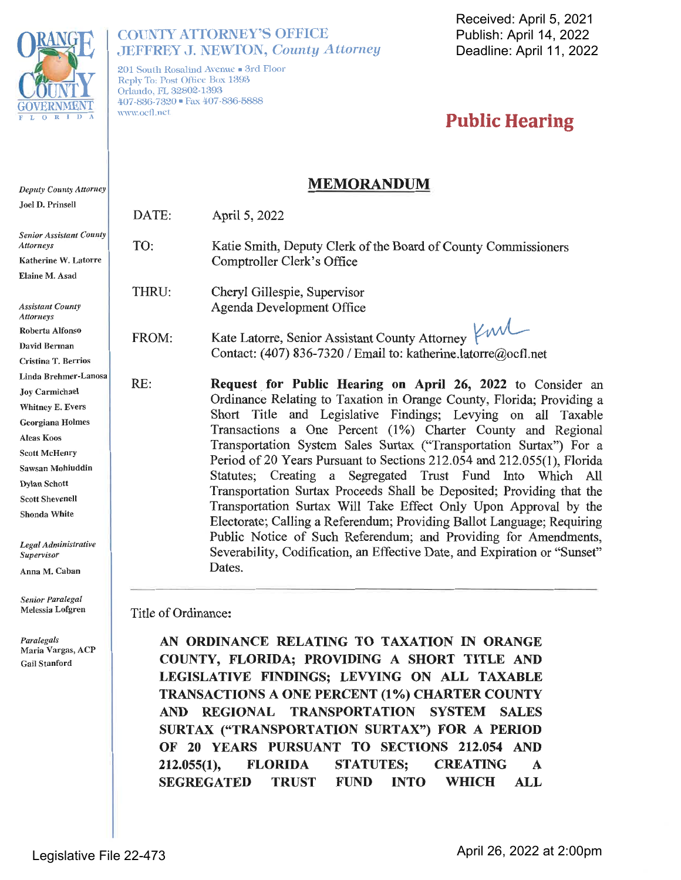

Deputy County Attorney

## COIWTY ATTORNEY'S OFFICE JEFFREY J. NEWTON, County Attomey

201 South Rosalind Avenue . 3rd Floor Reply To: Post Office Box 1393 Orlando, FL 32802-1393 407-836-7320 . Fax 407-836-5888 mnv.ocfl.net

Title of Ordinance:

Received: April 5, 2021 Publish: April 14, 2022 Deadline: April 11, 2022

## Public Hearing

## MEMORANDUM

Joel D. Prinsell Senior Assistant County Attorneys Katherine W. Latorre EIaine M. Asad Assistant County Attorneys Roberta Alfonso David Berman Cristina T. Berrios Linda Brehmer-Lanosa Joy Carmichael Whitney E. Evers Georgiana Holmes AIeas Koos Scott McHenry Sawsan Mohiuddin Dylan Schott Scott Shevenell Shonda White Legal Administrative Supervisor DATE: TO: THRU: FROM: RE: April 5, 2022 Katie Smith, Deputy Clerk of the Board of County Commissioners Comptroller Clerk's Office Cheryl Gillespie, Supervisor Agenda Development Office Kate Latorre, Senior Assistant County Attorney KwV Contact: (407) 836-7320 / Email to: katherine.latorre@ocfl.net Request for Public Hearing on April 26, 2022 to Consider an Ordinance Relating to Taxation in Orange County, Florida; Providing a Short Title and Legislative Findings; Levying on all Taxable Transactions a One Percent (1%) Charter County and Regional Transportation System Sales Surtax ("Transportation Surtax") For a Period of 20 Years Pursuant to Sections 212. 054 and 212. 055(1), Florida Statutes; Creating a Segregated Trust Fund Into Which All Transportation Surtax Proceeds Shall be Deposited; Providing that the Transportation Surtax Will Take Effect Only Upon Approval by the Electorate; Calling a Referendum; Providing Ballot Language; Requiring Public Notice of Such Referendum; and Providing for Amendments, Severability, Codification, an Effective Date, and Expiration or "Sunset" Dates.

Anna M. Caban

Senior Paralegal Melessia Lofgren

Paralegals Maria Vargas, ACP Gail Stanford

AN ORDINANCE RELATING TO TAXATION IN ORANGE COUNTY, FLORIDA; PROVIDING A SHORT TITLE AND LEGISLATIVE FINDINGS; LEVYING ON ALL TAXABLE TRANSACTIONS A ONE PERCENT (1%) CHARTER COUNTY AND REGIONAL TRANSPORTATION SYSTEM SALES SURTAX ("TRANSPORTATION SURTAX") FOR A PERIOD OF 20 YEARS PURSUANT TO SECTIONS 212.054 AND 212.055(1), FLORIDA STATUTES; CREATING A SEGREGATED TRUST FUND INTO WHICH ALL